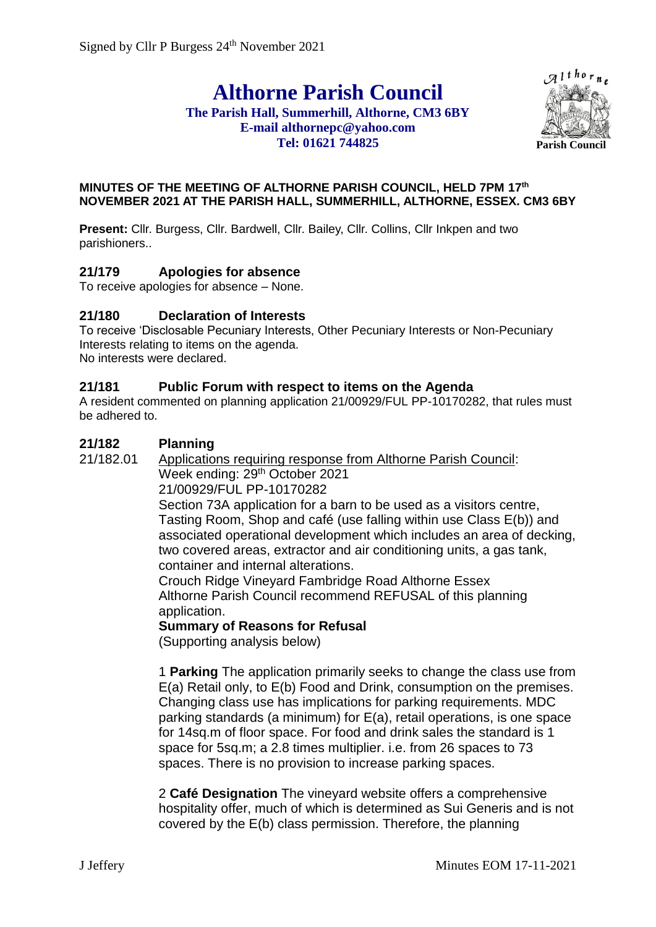# **Althorne Parish Council**

#### **The Parish Hall, Summerhill, Althorne, CM3 6BY E-mail althornepc@yahoo.com Tel: 01621 744825**



#### **MINUTES OF THE MEETING OF ALTHORNE PARISH COUNCIL, HELD 7PM 17th NOVEMBER 2021 AT THE PARISH HALL, SUMMERHILL, ALTHORNE, ESSEX. CM3 6BY**

**Present:** Cllr. Burgess, Cllr. Bardwell, Cllr. Bailey, Cllr. Collins, Cllr Inkpen and two parishioners..

## **21/179 Apologies for absence**

To receive apologies for absence – None.

## **21/180 Declaration of Interests**

To receive 'Disclosable Pecuniary Interests, Other Pecuniary Interests or Non-Pecuniary Interests relating to items on the agenda. No interests were declared.

#### **21/181 Public Forum with respect to items on the Agenda**

A resident commented on planning application 21/00929/FUL PP-10170282, that rules must be adhered to.

## **21/182 Planning**

21/182.01 Applications requiring response from Althorne Parish Council:

Week ending: 29<sup>th</sup> October 2021

21/00929/FUL PP-10170282

Section 73A application for a barn to be used as a visitors centre, Tasting Room, Shop and café (use falling within use Class E(b)) and associated operational development which includes an area of decking, two covered areas, extractor and air conditioning units, a gas tank, container and internal alterations.

Crouch Ridge Vineyard Fambridge Road Althorne Essex Althorne Parish Council recommend REFUSAL of this planning application.

## **Summary of Reasons for Refusal**

(Supporting analysis below)

1 **Parking** The application primarily seeks to change the class use from E(a) Retail only, to E(b) Food and Drink, consumption on the premises. Changing class use has implications for parking requirements. MDC parking standards (a minimum) for E(a), retail operations, is one space for 14sq.m of floor space. For food and drink sales the standard is 1 space for 5sq.m; a 2.8 times multiplier. i.e. from 26 spaces to 73 spaces. There is no provision to increase parking spaces.

2 **Café Designation** The vineyard website offers a comprehensive hospitality offer, much of which is determined as Sui Generis and is not covered by the E(b) class permission. Therefore, the planning